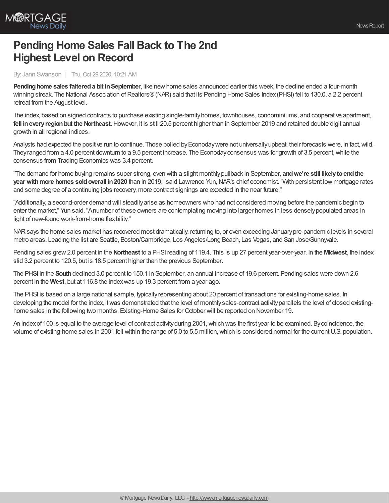

## **Pending Home Sales Fall Back to The 2nd Highest Level on Record**

By: Jann Swanson | Thu, Oct 29 2020, 10:21 AM

**Pending home sales faltered a bit in September, like new home sales announced earlier this week, the decline ended a four-month** winning streak. The National Association of Realtors® (NAR) said that its Pending Home Sales Index (PHSI) fell to 130.0, a 2.2 percent retreat from the August level.

The index, based on signed contracts to purchase existing single-familyhomes, townhouses, condominiums, and cooperative apartment, **fell ineveryregionbut the Northeast.**However, it is still 20.5 percent higher than in September 2019 and retained double digit annual growth in all regional indices.

Analysts had expected the positive run to continue. Those polled by Econoday were not universally upbeat, their forecasts were, in fact, wild. They ranged from a 4.0 percent downturn to a 9.5 percent increase. The Econoday consensus was for growth of 3.5 percent, while the consensus from Trading Economics was 3.4 percent.

"The demand for home buying remains super strong, even with a slight monthlypullback in September, **andwe're still likelytoendthe year withmore homes soldoverall in2020** than in 2019," said Lawrence Yun,NAR's chief economist."With persistent low mortgage rates and some degree of a continuing jobs recovery, more contract signings are expected in the near future."

"Additionally, a second-order demand will steadilyarise as homeowners who had not considered moving before the pandemic begin to enter the market," Yun said."Anumber of these owners are contemplating moving into larger homes in less denselypopulated areas in light of new-found work-from-home flexibility."

NARsays the home sales market has recovered most dramatically, returning to, or even exceeding Januarypre-pandemic levels in several metro areas. Leading the list are Seattle, Boston/Cambridge, Los Angeles/Long Beach, Las Vegas, and San Jose/Sunnyvale.

Pending sales grew2.0 percent in the **Northeast** to a PHSI reading of 119.4. This is up 27 percent year-over-year. In the **Midwest**, the index slid 3.2 percent to 120.5, but is 18.5 percent higher than the previous September.

The PHSI in the **South**declined 3.0 percent to 150.1 in September, an annual increase of 19.6 percent. Pending sales were down 2.6 percent in the **West**, but at 116.8 the indexwas up 19.3 percent from a year ago.

The PHSI is based on a large national sample, typicallyrepresenting about 20 percent of transactions for existing-home sales. In developing the model for the index, itwas demonstrated that the level of monthlysales-contract activityparallels the level of closed existinghome sales in the following two months. Existing-Home Sales for October will be reported on November 19.

An index of 100 is equal to the average level of contract activity during 2001, which was the first year to be examined. By coincidence, the volume of existing-home sales in 2001 fell within the range of 5.0 to 5.5 million,which is considered normal for the currentU.S. population.